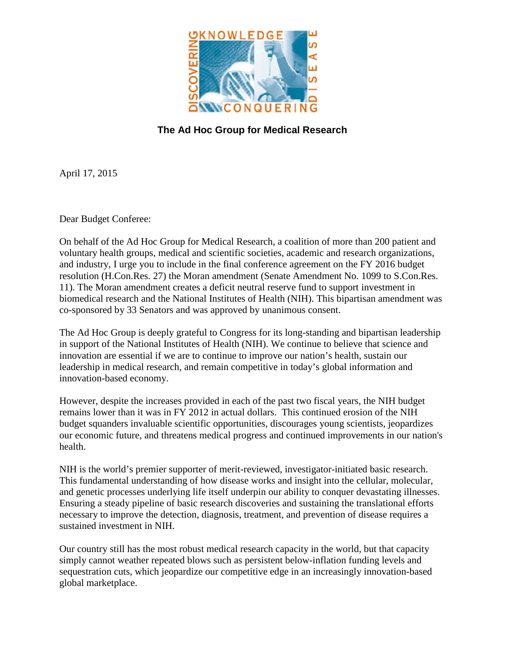

## **The Ad Hoc Group for Medical Research**

April 17, 2015

Dear Budget Conferee:

On behalf of the Ad Hoc Group for Medical Research, a coalition of more than 200 patient and voluntary health groups, medical and scientific societies, academic and research organizations, and industry, I urge you to include in the final conference agreement on the FY 2016 budget resolution (H.Con.Res. 27) the Moran amendment (Senate Amendment No. 1099 to S.Con.Res. 11). The Moran amendment creates a deficit neutral reserve fund to support investment in biomedical research and the National Institutes of Health (NIH). This bipartisan amendment was co-sponsored by 33 Senators and was approved by unanimous consent.

The Ad Hoc Group is deeply grateful to Congress for its long-standing and bipartisan leadership in support of the National Institutes of Health (NIH). We continue to believe that science and innovation are essential if we are to continue to improve our nation's health, sustain our leadership in medical research, and remain competitive in today's global information and innovation-based economy.

However, despite the increases provided in each of the past two fiscal years, the NIH budget remains lower than it was in FY 2012 in actual dollars. This continued erosion of the NIH budget squanders invaluable scientific opportunities, discourages young scientists, jeopardizes our economic future, and threatens medical progress and continued improvements in our nation's health.

NIH is the world's premier supporter of merit-reviewed, investigator-initiated basic research. This fundamental understanding of how disease works and insight into the cellular, molecular, and genetic processes underlying life itself underpin our ability to conquer devastating illnesses. Ensuring a steady pipeline of basic research discoveries and sustaining the translational efforts necessary to improve the detection, diagnosis, treatment, and prevention of disease requires a sustained investment in NIH.

Our country still has the most robust medical research capacity in the world, but that capacity simply cannot weather repeated blows such as persistent below-inflation funding levels and sequestration cuts, which jeopardize our competitive edge in an increasingly innovation-based global marketplace.